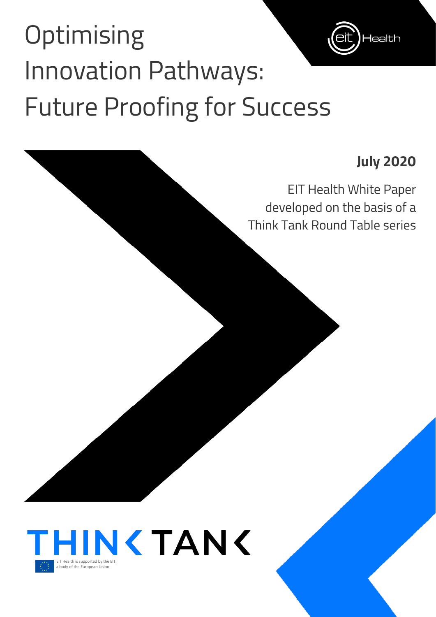# **Optimising** Innovation Pathways: Future Proofing for Success

## **July 2020**

**lealth** 

EIT Health White Paper developed on the basis of a Think Tank Round Table series

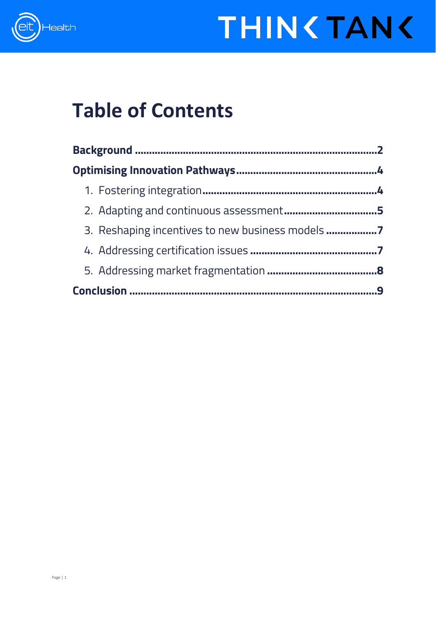

# **THIN <TAN <**

## **Table of Contents**

<span id="page-1-0"></span>

| 3. Reshaping incentives to new business models |   |
|------------------------------------------------|---|
|                                                |   |
|                                                |   |
|                                                | 9 |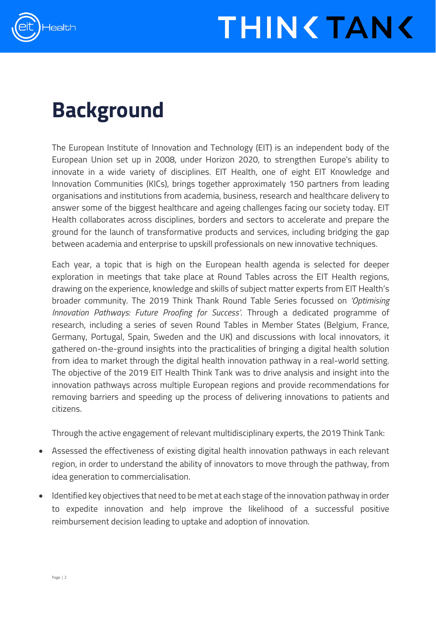



## **Background**

The European Institute of Innovation and Technology (EIT) is an independent body of the European Union set up in 2008, under Horizon 2020, to strengthen Europe's ability to innovate in a wide variety of disciplines. EIT Health, one of eight EIT Knowledge and Innovation Communities (KICs), brings together approximately 150 partners from leading organisations and institutions from academia, business, research and healthcare delivery to answer some of the biggest healthcare and ageing challenges facing our society today. EIT Health collaborates across disciplines, borders and sectors to accelerate and prepare the ground for the launch of transformative products and services, including bridging the gap between academia and enterprise to upskill professionals on new innovative techniques.

Each year, a topic that is high on the European health agenda is selected for deeper exploration in meetings that take place at Round Tables across the EIT Health regions, drawing on the experience, knowledge and skills of subject matter experts from EIT Health's broader community. The 2019 Think Thank Round Table Series focussed on *'Optimising Innovation Pathways: Future Proofing for Success'*. Through a dedicated programme of research, including a series of seven Round Tables in Member States (Belgium, France, Germany, Portugal, Spain, Sweden and the UK) and discussions with local innovators, it gathered on-the-ground insights into the practicalities of bringing a digital health solution from idea to market through the digital health innovation pathway in a real-world setting. The objective of the 2019 EIT Health Think Tank was to drive analysis and insight into the innovation pathways across multiple European regions and provide recommendations for removing barriers and speeding up the process of delivering innovations to patients and citizens.

Through the active engagement of relevant multidisciplinary experts, the 2019 Think Tank:

- Assessed the effectiveness of existing digital health innovation pathways in each relevant region, in order to understand the ability of innovators to move through the pathway, from idea generation to commercialisation.
- Identified key objectives that need to be met at each stage of the innovation pathway in order to expedite innovation and help improve the likelihood of a successful positive reimbursement decision leading to uptake and adoption of innovation.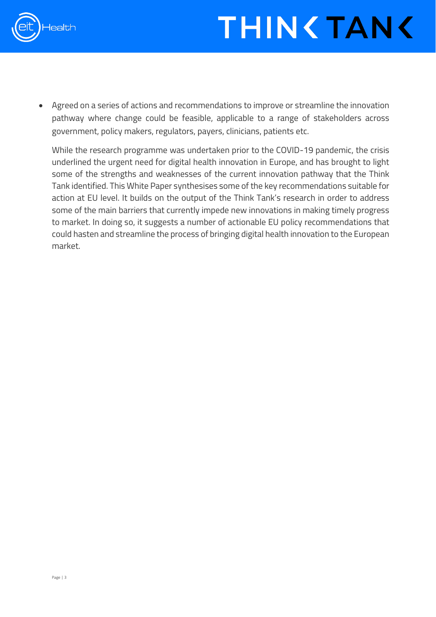

• Agreed on a series of actions and recommendations to improve or streamline the innovation pathway where change could be feasible, applicable to a range of stakeholders across government, policy makers, regulators, payers, clinicians, patients etc.

While the research programme was undertaken prior to the COVID-19 pandemic, the crisis underlined the urgent need for digital health innovation in Europe, and has brought to light some of the strengths and weaknesses of the current innovation pathway that the Think Tank identified. This White Paper synthesises some of the key recommendations suitable for action at EU level. It builds on the output of the Think Tank's research in order to address some of the main barriers that currently impede new innovations in making timely progress to market. In doing so, it suggests a number of actionable EU policy recommendations that could hasten and streamline the process of bringing digital health innovation to the European market.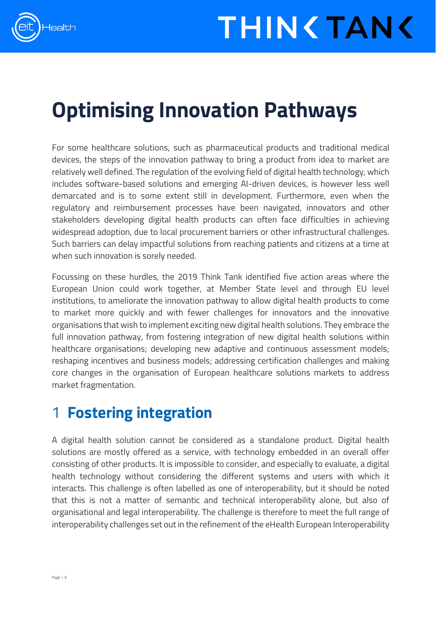

## <span id="page-4-0"></span>**Optimising Innovation Pathways**

For some healthcare solutions, such as pharmaceutical products and traditional medical devices, the steps of the innovation pathway to bring a product from idea to market are relatively well defined. The regulation of the evolving field of digital health technology, which includes software-based solutions and emerging AI-driven devices, is however less well demarcated and is to some extent still in development. Furthermore, even when the regulatory and reimbursement processes have been navigated, innovators and other stakeholders developing digital health products can often face difficulties in achieving widespread adoption, due to local procurement barriers or other infrastructural challenges. Such barriers can delay impactful solutions from reaching patients and citizens at a time at when such innovation is sorely needed.

Focussing on these hurdles, the 2019 Think Tank identified five action areas where the European Union could work together, at Member State level and through EU level institutions, to ameliorate the innovation pathway to allow digital health products to come to market more quickly and with fewer challenges for innovators and the innovative organisations that wish to implement exciting new digital health solutions. They embrace the full innovation pathway, from fostering integration of new digital health solutions within healthcare organisations; developing new adaptive and continuous assessment models; reshaping incentives and business models; addressing certification challenges and making core changes in the organisation of European healthcare solutions markets to address market fragmentation.

## <span id="page-4-1"></span>1 **Fostering integration**

A digital health solution cannot be considered as a standalone product. Digital health solutions are mostly offered as a service, with technology embedded in an overall offer consisting of other products. It is impossible to consider, and especially to evaluate, a digital health technology without considering the different systems and users with which it interacts. This challenge is often labelled as one of interoperability, but it should be noted that this is not a matter of semantic and technical interoperability alone, but also of organisational and legal interoperability. The challenge is therefore to meet the full range of interoperability challenges set out in the refinement of the eHealth European Interoperability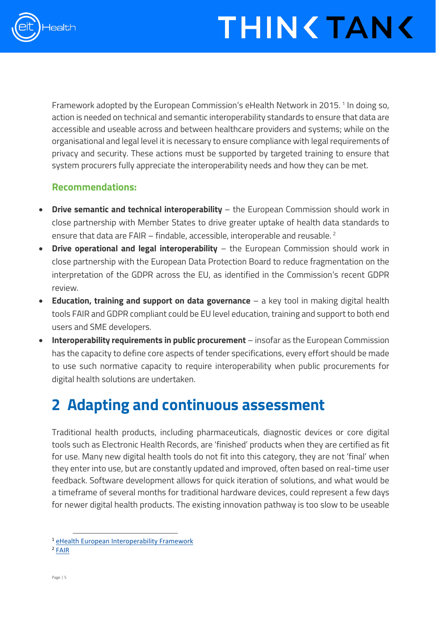

Framework adopted by the European Commission's eHealth Network in 20[1](#page-5-1)5.<sup>1</sup> In doing so, action is needed on technical and semantic interoperability standards to ensure that data are accessible and useable across and between healthcare providers and systems; while on the organisational and legal level it is necessary to ensure compliance with legal requirements of privacy and security. These actions must be supported by targeted training to ensure that system procurers fully appreciate the interoperability needs and how they can be met.

#### **Recommendations:**

- **Drive semantic and technical interoperability** the European Commission should work in close partnership with Member States to drive greater uptake of health data standards to ensure that data are FAIR – findable, accessible, interoperable and reusable. [2](#page-5-2)
- **Drive operational and legal interoperability** the European Commission should work in close partnership with the European Data Protection Board to reduce fragmentation on the interpretation of the GDPR across the EU, as identified in the Commission's recent GDPR review.
- **Education, training and support on data governance** a key tool in making digital health tools FAIR and GDPR compliant could be EU level education, training and support to both end users and SME developers.
- **Interoperability requirements in public procurement** insofar as the European Commission has the capacity to define core aspects of tender specifications, every effort should be made to use such normative capacity to require interoperability when public procurements for digital health solutions are undertaken.

### <span id="page-5-0"></span>**2 Adapting and continuous assessment**

Traditional health products, including pharmaceuticals, diagnostic devices or core digital tools such as Electronic Health Records, are 'finished' products when they are certified as fit for use. Many new digital health tools do not fit into this category, they are not 'final' when they enter into use, but are constantly updated and improved, often based on real-time user feedback. Software development allows for quick iteration of solutions, and what would be a timeframe of several months for traditional hardware devices, could represent a few days for newer digital health products. The existing innovation pathway is too slow to be useable

<span id="page-5-1"></span><sup>1</sup> [eHealth European Interoperability Framework](https://ec.europa.eu/health/sites/health/files/ehealth/docs/ev_20151123_co03_en.pdf)

<span id="page-5-2"></span><sup>2</sup> [FAIR](https://ec.europa.eu/info/sites/info/files/turning_fair_into_reality_0.pdf)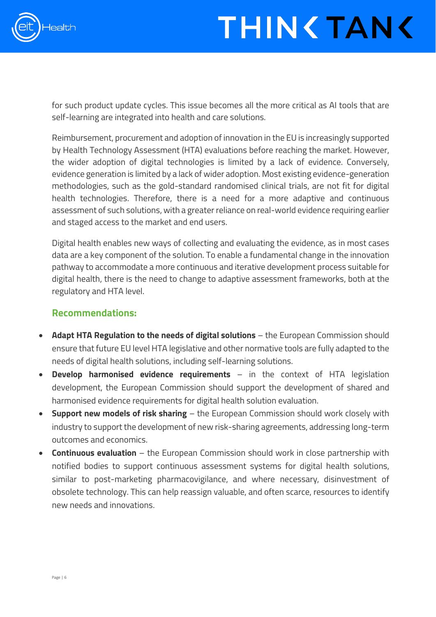

# **THIN TAN <**

for such product update cycles. This issue becomes all the more critical as AI tools that are self-learning are integrated into health and care solutions.

Reimbursement, procurement and adoption of innovation in the EU is increasingly supported by Health Technology Assessment (HTA) evaluations before reaching the market. However, the wider adoption of digital technologies is limited by a lack of evidence. Conversely, evidence generation is limited by a lack of wider adoption. Most existing evidence-generation methodologies, such as the gold-standard randomised clinical trials, are not fit for digital health technologies. Therefore, there is a need for a more adaptive and continuous assessment of such solutions, with a greater reliance on real-world evidence requiring earlier and staged access to the market and end users.

Digital health enables new ways of collecting and evaluating the evidence, as in most cases data are a key component of the solution. To enable a fundamental change in the innovation pathway to accommodate a more continuous and iterative development process suitable for digital health, there is the need to change to adaptive assessment frameworks, both at the regulatory and HTA level.

#### **Recommendations:**

- **Adapt HTA Regulation to the needs of digital solutions** the European Commission should ensure that future EU level HTA legislative and other normative tools are fully adapted to the needs of digital health solutions, including self-learning solutions.
- **Develop harmonised evidence requirements** in the context of HTA legislation development, the European Commission should support the development of shared and harmonised evidence requirements for digital health solution evaluation.
- **Support new models of risk sharing** the European Commission should work closely with industry to support the development of new risk-sharing agreements, addressing long-term outcomes and economics.
- **Continuous evaluation** the European Commission should work in close partnership with notified bodies to support continuous assessment systems for digital health solutions, similar to post-marketing pharmacovigilance, and where necessary, disinvestment of obsolete technology. This can help reassign valuable, and often scarce, resources to identify new needs and innovations.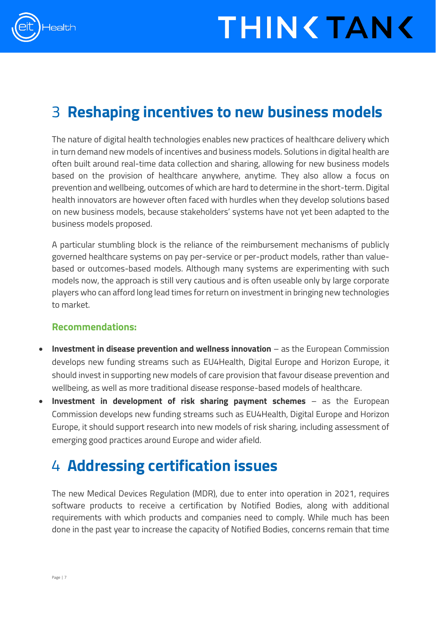

### <span id="page-7-0"></span>3 **Reshaping incentives to new business models**

The nature of digital health technologies enables new practices of healthcare delivery which in turn demand new models of incentives and business models. Solutions in digital health are often built around real-time data collection and sharing, allowing for new business models based on the provision of healthcare anywhere, anytime. They also allow a focus on prevention and wellbeing, outcomes of which are hard to determine in the short-term. Digital health innovators are however often faced with hurdles when they develop solutions based on new business models, because stakeholders' systems have not yet been adapted to the business models proposed.

A particular stumbling block is the reliance of the reimbursement mechanisms of publicly governed healthcare systems on pay per-service or per-product models, rather than valuebased or outcomes-based models. Although many systems are experimenting with such models now, the approach is still very cautious and is often useable only by large corporate players who can afford long lead times for return on investment in bringing new technologies to market.

#### **Recommendations:**

- **Investment in disease prevention and wellness innovation** as the European Commission develops new funding streams such as EU4Health, Digital Europe and Horizon Europe, it should invest in supporting new models of care provision that favour disease prevention and wellbeing, as well as more traditional disease response-based models of healthcare.
- **Investment in development of risk sharing payment schemes** as the European Commission develops new funding streams such as EU4Health, Digital Europe and Horizon Europe, it should support research into new models of risk sharing, including assessment of emerging good practices around Europe and wider afield.

### <span id="page-7-1"></span>4 **Addressing certification issues**

The new Medical Devices Regulation (MDR), due to enter into operation in 2021, requires software products to receive a certification by Notified Bodies, along with additional requirements with which products and companies need to comply. While much has been done in the past year to increase the capacity of Notified Bodies, concerns remain that time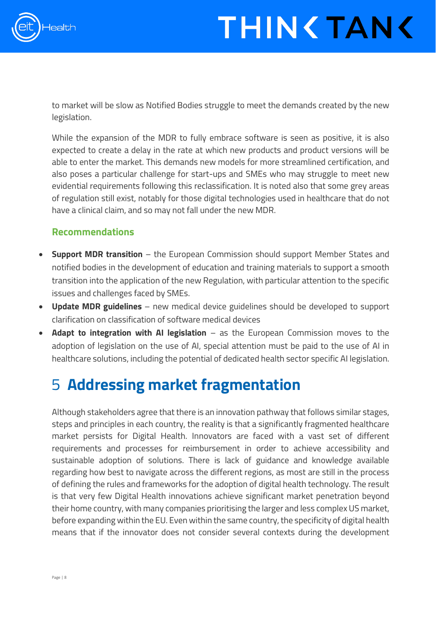

# **THIN TAN <**

to market will be slow as Notified Bodies struggle to meet the demands created by the new legislation.

While the expansion of the MDR to fully embrace software is seen as positive, it is also expected to create a delay in the rate at which new products and product versions will be able to enter the market. This demands new models for more streamlined certification, and also poses a particular challenge for start-ups and SMEs who may struggle to meet new evidential requirements following this reclassification. It is noted also that some grey areas of regulation still exist, notably for those digital technologies used in healthcare that do not have a clinical claim, and so may not fall under the new MDR.

#### **Recommendations**

- **Support MDR transition** the European Commission should support Member States and notified bodies in the development of education and training materials to support a smooth transition into the application of the new Regulation, with particular attention to the specific issues and challenges faced by SMEs.
- **Update MDR guidelines** new medical device guidelines should be developed to support clarification on classification of software medical devices
- **Adapt to integration with AI legislation** as the European Commission moves to the adoption of legislation on the use of AI, special attention must be paid to the use of AI in healthcare solutions, including the potential of dedicated health sector specific AI legislation.

### <span id="page-8-0"></span>5 **Addressing market fragmentation**

Although stakeholders agree that there is an innovation pathway that follows similar stages, steps and principles in each country, the reality is that a significantly fragmented healthcare market persists for Digital Health. Innovators are faced with a vast set of different requirements and processes for reimbursement in order to achieve accessibility and sustainable adoption of solutions. There is lack of guidance and knowledge available regarding how best to navigate across the different regions, as most are still in the process of defining the rules and frameworks for the adoption of digital health technology. The result is that very few Digital Health innovations achieve significant market penetration beyond their home country, with many companies prioritising the larger and less complex US market, before expanding within the EU. Even within the same country, the specificity of digital health means that if the innovator does not consider several contexts during the development